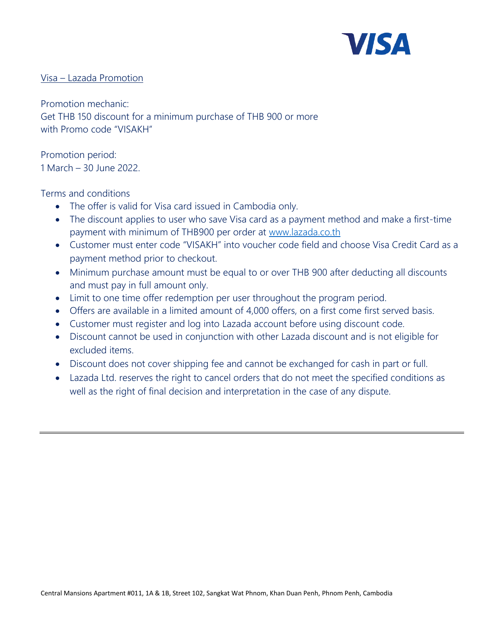

## Visa – Lazada Promotion

Promotion mechanic: Get THB 150 discount for a minimum purchase of THB 900 or more with Promo code "VISAKH"

Promotion period: 1 March – 30 June 2022.

## Terms and conditions

- The offer is valid for Visa card issued in Cambodia only.
- The discount applies to user who save Visa card as a payment method and make a first-time payment with minimum of THB900 per order at [www.lazada.co.th](http://www.lazada.co.th/)
- Customer must enter code "VISAKH" into voucher code field and choose Visa Credit Card as a payment method prior to checkout.
- Minimum purchase amount must be equal to or over THB 900 after deducting all discounts and must pay in full amount only.
- Limit to one time offer redemption per user throughout the program period.
- Offers are available in a limited amount of 4,000 offers, on a first come first served basis.
- Customer must register and log into Lazada account before using discount code.
- Discount cannot be used in conjunction with other Lazada discount and is not eligible for excluded items.
- Discount does not cover shipping fee and cannot be exchanged for cash in part or full.
- Lazada Ltd. reserves the right to cancel orders that do not meet the specified conditions as well as the right of final decision and interpretation in the case of any dispute.